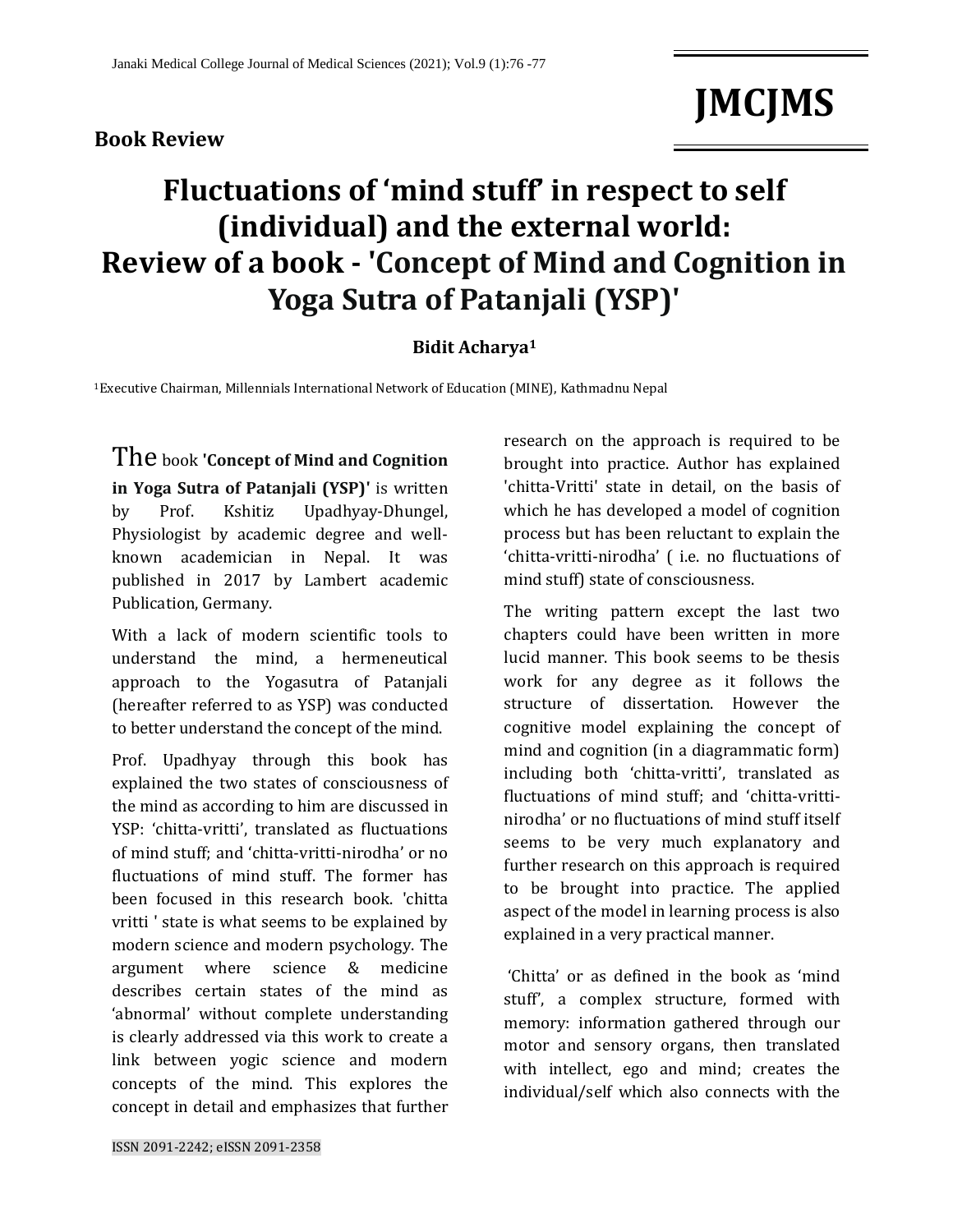## **Book Review**

# **JMCJMS**

# **Fluctuations of 'mind stuff' in respect to self (individual) and the external world: Review of a book - 'Concept of Mind and Cognition in Yoga Sutra of Patanjali (YSP)'**

### **Bidit Acharya<sup>1</sup>**

<sup>1</sup>Executive Chairman, Millennials International Network of Education (MINE), Kathmadnu Nepal

The book **'Concept of Mind and Cognition in Yoga Sutra of Patanjali (YSP)'** is written by Prof. Kshitiz Upadhyay-Dhungel, Physiologist by academic degree and wellknown academician in Nepal. It was published in 2017 by Lambert academic Publication, Germany.

With a lack of modern scientific tools to understand the mind, a hermeneutical approach to the Yogasutra of Patanjali (hereafter referred to as YSP) was conducted to better understand the concept of the mind.

Prof. Upadhyay through this book has explained the two states of consciousness of the mind as according to him are discussed in YSP: 'chitta-vritti', translated as fluctuations of mind stuff; and 'chitta-vritti-nirodha' or no fluctuations of mind stuff. The former has been focused in this research book. 'chitta vritti ' state is what seems to be explained by modern science and modern psychology. The argument where science & medicine describes certain states of the mind as 'abnormal' without complete understanding is clearly addressed via this work to create a link between yogic science and modern concepts of the mind. This explores the concept in detail and emphasizes that further

research on the approach is required to be brought into practice. Author has explained 'chitta-Vritti' state in detail, on the basis of which he has developed a model of cognition process but has been reluctant to explain the 'chitta-vritti-nirodha' ( i.e. no fluctuations of mind stuff) state of consciousness.

The writing pattern except the last two chapters could have been written in more lucid manner. This book seems to be thesis work for any degree as it follows the structure of dissertation. However the cognitive model explaining the concept of mind and cognition (in a diagrammatic form) including both 'chitta-vritti', translated as fluctuations of mind stuff; and 'chitta-vrittinirodha' or no fluctuations of mind stuff itself seems to be very much explanatory and further research on this approach is required to be brought into practice. The applied aspect of the model in learning process is also explained in a very practical manner.

'Chitta' or as defined in the book as 'mind stuff', a complex structure, formed with memory: information gathered through our motor and sensory organs, then translated with intellect, ego and mind; creates the individual/self which also connects with the